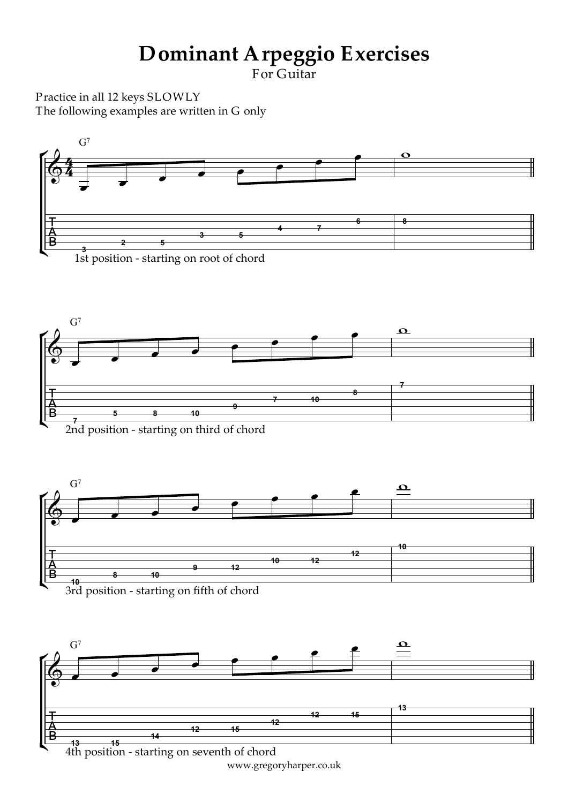## **Dominant Arpeggio Exercises**

For Guitar

Practice in all 12 keys SLOWLY The following examples are written in G only



1st position - starting on root of chord











www.gregoryharper.co.uk